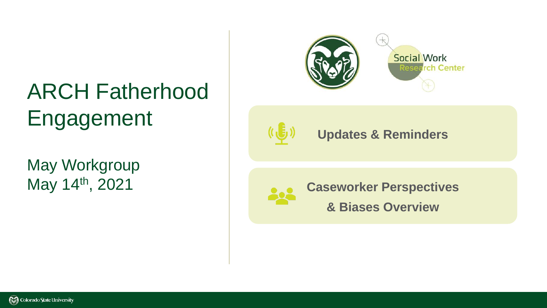## ARCH Fatherhood Engagement

May Workgroup May 14th, 2021





#### **Updates & Reminders**



**Caseworker Perspectives** 

**& Biases Overview**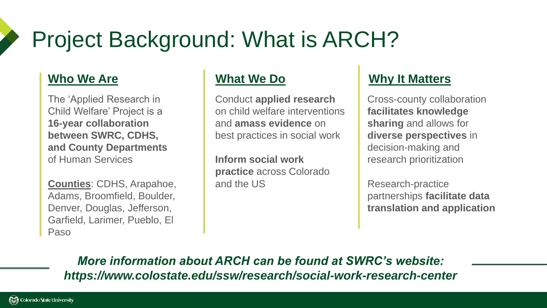## Project Background: What is ARCH?

The 'Applied Research in Child Welfare' Project is a **16-year collaboration between SWRC, CDHS, and County Departments**  of Human Services

**Counties**: CDHS, Arapahoe, Adams, Broomfield, Boulder, Denver, Douglas, Jefferson, Garfield, Larimer, Pueblo, El Paso

Conduct **applied research**  on child welfare interventions and **amass evidence** on best practices in social work

**Inform social work practice** across Colorado and the US

#### **Who We Are What We Do Why It Matters**

Cross-county collaboration **facilitates knowledge sharing** and allows for **diverse perspectives** in decision-making and research prioritization

Research-practice partnerships **facilitate data translation and application**

*More information about ARCH can be found at SWRC's website: https://www.colostate.edu/ssw/research/social-work-research-center*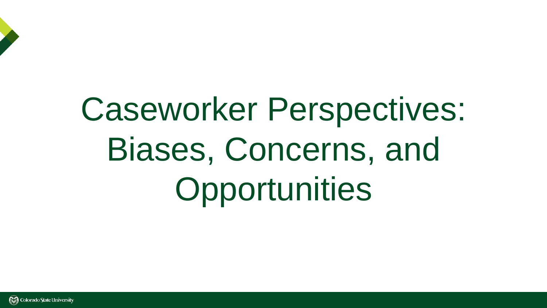# Caseworker Perspectives: Biases, Concerns, and Opportunities

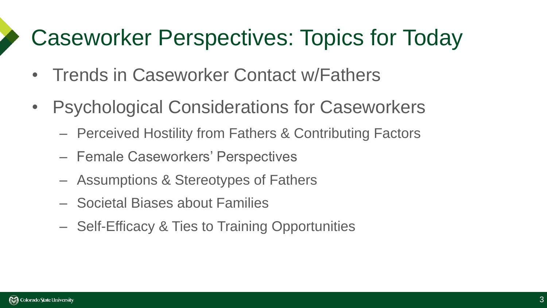### Caseworker Perspectives: Topics for Today

- Trends in Caseworker Contact w/Fathers
- Psychological Considerations for Caseworkers
	- Perceived Hostility from Fathers & Contributing Factors
	- Female Caseworkers' Perspectives
	- Assumptions & Stereotypes of Fathers
	- Societal Biases about Families
	- Self-Efficacy & Ties to Training Opportunities

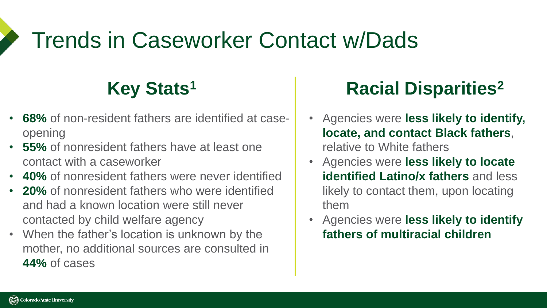### Trends in Caseworker Contact w/Dads

- **68%** of non-resident fathers are identified at caseopening
- **55%** of nonresident fathers have at least one contact with a caseworker
- **40%** of nonresident fathers were never identified
- **20%** of nonresident fathers who were identified and had a known location were still never contacted by child welfare agency
- When the father's location is unknown by the mother, no additional sources are consulted in **44%** of cases

### **Key Stats<sup>1</sup> Racial Disparities<sup>2</sup>**

- Agencies were **less likely to identify, locate, and contact Black fathers**, relative to White fathers
- Agencies were **less likely to locate identified Latino/x fathers** and less likely to contact them, upon locating them
- Agencies were **less likely to identify fathers of multiracial children**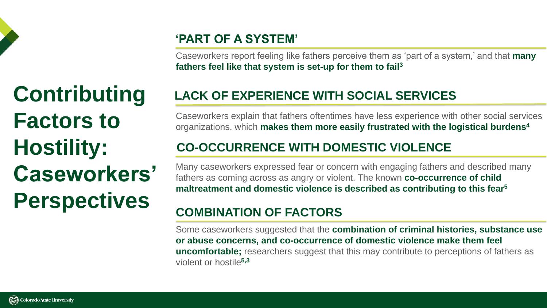

**Contributing Factors to Hostility: Caseworkers' Perspectives**

#### **'PART OF A SYSTEM'**

Caseworkers report feeling like fathers perceive them as 'part of a system,' and that **many fathers feel like that system is set-up for them to fail<sup>3</sup>**

#### **LACK OF EXPERIENCE WITH SOCIAL SERVICES**

Caseworkers explain that fathers oftentimes have less experience with other social services organizations, which **makes them more easily frustrated with the logistical burdens 4**

#### **CO-OCCURRENCE WITH DOMESTIC VIOLENCE**

Many caseworkers expressed fear or concern with engaging fathers and described many fathers as coming across as angry or violent. The known **co-occurrence of child maltreatment and domestic violence is described as contributing to this fear 5**

#### **COMBINATION OF FACTORS**

Some caseworkers suggested that the **combination of criminal histories, substance use or abuse concerns, and co-occurrence of domestic violence make them feel uncomfortable;** researchers suggest that this may contribute to perceptions of fathers as violent or hostile**5,3**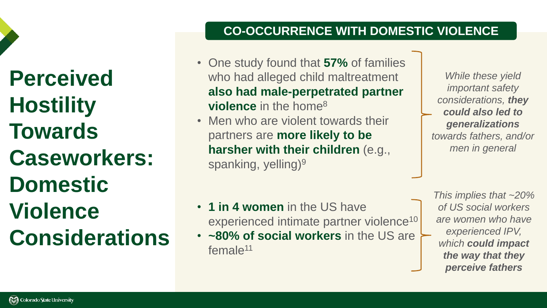**Perceived Hostility Towards Caseworkers: Domestic Violence Considerations**

#### **CO-OCCURRENCE WITH DOMESTIC VIOLENCE**

- One study found that **57%** of families who had alleged child maltreatment **also had male-perpetrated partner violence** in the home<sup>8</sup>
- Men who are violent towards their partners are **more likely to be harsher with their children** (e.g., spanking, yelling)<sup>9</sup>

*While these yield important safety considerations, they could also led to generalizations towards fathers, and/or men in general*

• **1 in 4 women** in the US have experienced intimate partner violence<sup>10</sup>

• **~80% of social workers** in the US are female<sup>11</sup>

*This implies that ~20% of US social workers are women who have experienced IPV, which could impact the way that they perceive fathers*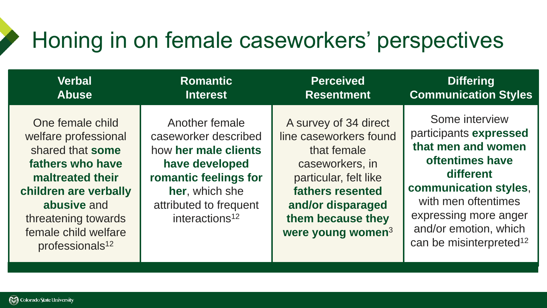### Honing in on female caseworkers' perspectives

| <b>Verbal</b>                                                                                                                                                                                                              | <b>Romantic</b>                                                                                                                                                                     | <b>Perceived</b>                                                                                                                                                                                 | <b>Differing</b>                                                                                                                                                                                                                        |
|----------------------------------------------------------------------------------------------------------------------------------------------------------------------------------------------------------------------------|-------------------------------------------------------------------------------------------------------------------------------------------------------------------------------------|--------------------------------------------------------------------------------------------------------------------------------------------------------------------------------------------------|-----------------------------------------------------------------------------------------------------------------------------------------------------------------------------------------------------------------------------------------|
| <b>Abuse</b>                                                                                                                                                                                                               | <b>Interest</b>                                                                                                                                                                     | <b>Resentment</b>                                                                                                                                                                                | <b>Communication Styles</b>                                                                                                                                                                                                             |
| One female child<br>welfare professional<br>shared that some<br>fathers who have<br>maltreated their<br>children are verbally<br>abusive and<br>threatening towards<br>female child welfare<br>professionals <sup>12</sup> | Another female<br>caseworker described<br>how her male clients<br>have developed<br>romantic feelings for<br>her, which she<br>attributed to frequent<br>interactions <sup>12</sup> | A survey of 34 direct<br>line caseworkers found<br>that female<br>caseworkers, in<br>particular, felt like<br>fathers resented<br>and/or disparaged<br>them because they<br>were young women $3$ | Some interview<br>participants expressed<br>that men and women<br>oftentimes have<br>different<br>communication styles,<br>with men oftentimes<br>expressing more anger<br>and/or emotion, which<br>can be misinterpreted <sup>12</sup> |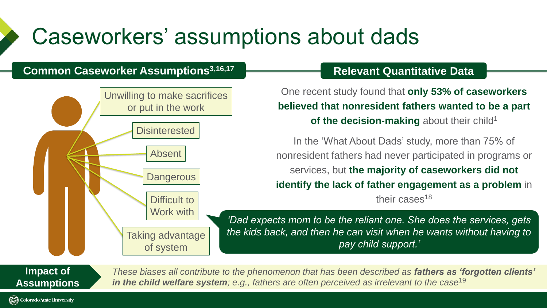### Caseworkers' assumptions about dads

#### **Common Caseworker Assumptions3,16,17**



#### **Relevant Quantitative Data**

One recent study found that **only 53% of caseworkers believed that nonresident fathers wanted to be a part of the decision-making** about their child<sup>1</sup>

In the 'What About Dads' study, more than 75% of nonresident fathers had never participated in programs or services, but **the majority of caseworkers did not identify the lack of father engagement as a problem** in

their cases<sup>18</sup>

*'Dad expects mom to be the reliant one. She does the services, gets the kids back, and then he can visit when he wants without having to pay child support.'* 

**Impact of Assumptions**

**RA** Colorado State University

*These biases all contribute to the phenomenon that has been described as fathers as 'forgotten clients' in the child welfare system; e.g., fathers are often perceived as irrelevant to the case*<sup>19</sup>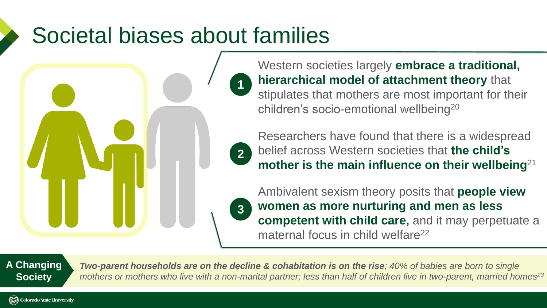### Societal biases about families

**1**

**2**

Western societies largely **embrace a traditional, hierarchical model of attachment theory** that stipulates that mothers are most important for their children's socio-emotional wellbeing<sup>20</sup>

Researchers have found that there is a widespread belief across Western societies that **the child's**  mother is the main influence on their wellbeing<sup>21</sup>

Ambivalent sexism theory posits that **people view women as more nurturing and men as less competent with child care, and it may perpetuate a** maternal focus in child welfare<sup>22</sup> **3**

**A Changing Society**

*Two-parent households are on the decline & cohabitation is on the rise; 40% of babies are born to single mothers or mothers who live with a non-marital partner; less than half of children live in two-parent, married homes 23*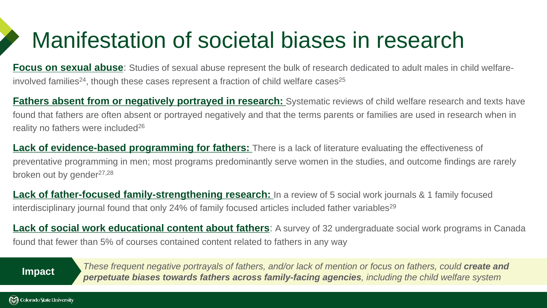## Manifestation of societal biases in research

**Focus on sexual abuse**: Studies of sexual abuse represent the bulk of research dedicated to adult males in child welfareinvolved families<sup>24</sup>, though these cases represent a fraction of child welfare cases<sup>25</sup>

**Fathers absent from or negatively portrayed in research:** Systematic reviews of child welfare research and texts have found that fathers are often absent or portrayed negatively and that the terms parents or families are used in research when in reality no fathers were included<sup>26</sup>

**Lack of evidence-based programming for fathers:** There is a lack of literature evaluating the effectiveness of preventative programming in men; most programs predominantly serve women in the studies, and outcome findings are rarely broken out by gender $27,28$ 

**Lack of father-focused family-strengthening research:** In a review of 5 social work journals & 1 family focused interdisciplinary journal found that only 24% of family focused articles included father variables<sup>29</sup>

**Lack of social work educational content about fathers**: A survey of 32 undergraduate social work programs in Canada found that fewer than 5% of courses contained content related to fathers in any way

*These frequent negative portrayals of fathers, and/or lack of mention or focus on fathers, could create and perpetuate biases towards fathers across family-facing agencies, including the child welfare system* **Impact**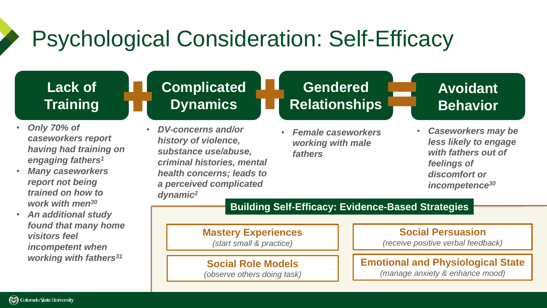## Psychological Consideration: Self-Efficacy

#### **Lack of Training**

- *Only 70% of caseworkers report having had training on engaging fathers<sup>1</sup>*
- *Many caseworkers report not being trained on how to work with men<sup>30</sup>*
- *An additional study found that many home visitors feel incompetent when working with fathers<sup>31</sup>*

### **Complicated Dynamics**

• *DV-concerns and/or history of violence, substance use/abuse, criminal histories, mental health concerns; leads to a perceived complicated dynamic<sup>2</sup>*

### **Gendered Relationships**

• *Female caseworkers working with male fathers*

#### **Avoidant Behavior**

• *Caseworkers may be less likely to engage with fathers out of feelings of discomfort or incompetence<sup>30</sup>*

#### **Building Self-Efficacy: Evidence-Based Strategies**

**Mastery Experiences**  *(start small & practice)*

**Social Role Models**  *(observe others doing task)*

**Social Persuasion** *(receive positive verbal feedback)*

**Emotional and Physiological State** *(manage anxiety & enhance mood)*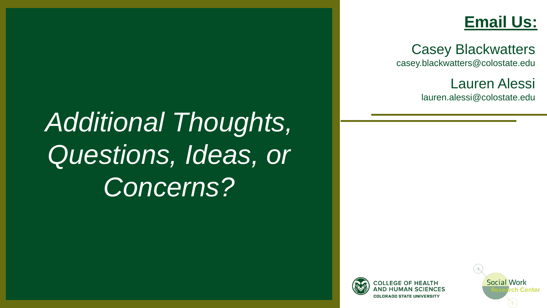### **Email Us:**

Casey Blackwatters casey.blackwatters@colostate.edu

Lauren Alessi

lauren.alessi@colostate.edu

*Additional Thoughts, Questions, Ideas, or Concerns?*



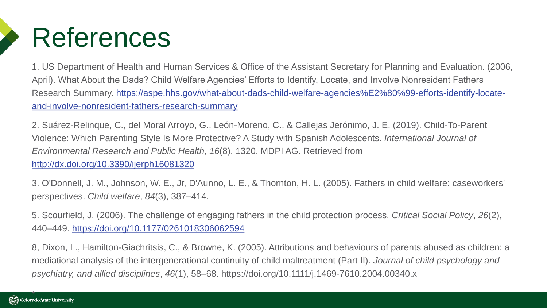

1. US Department of Health and Human Services & Office of the Assistant Secretary for Planning and Evaluation. (2006, April). What About the Dads? Child Welfare Agencies' Efforts to Identify, Locate, and Involve Nonresident Fathers [Research Summary. https://aspe.hhs.gov/what-about-dads-child-welfare-agencies%E2%80%99-efforts-identify-locate](https://aspe.hhs.gov/what-about-dads-child-welfare-agencies%E2%80%99-efforts-identify-locate-and-involve-nonresident-fathers-research-summary)and-involve-nonresident-fathers-research-summary

2. Suárez-Relinque, C., del Moral Arroyo, G., León-Moreno, C., & Callejas Jerónimo, J. E. (2019). Child-To-Parent Violence: Which Parenting Style Is More Protective? A Study with Spanish Adolescents. *International Journal of Environmental Research and Public Health*, *16*(8), 1320. MDPI AG. Retrieved from <http://dx.doi.org/10.3390/ijerph16081320>

3. O'Donnell, J. M., Johnson, W. E., Jr, D'Aunno, L. E., & Thornton, H. L. (2005). Fathers in child welfare: caseworkers' perspectives. *Child welfare*, *84*(3), 387–414.

5. Scourfield, J. (2006). The challenge of engaging fathers in the child protection process. *Critical Social Policy*, *26*(2), 440–449. <https://doi.org/10.1177/0261018306062594>

8, Dixon, L., Hamilton-Giachritsis, C., & Browne, K. (2005). Attributions and behaviours of parents abused as children: a mediational analysis of the intergenerational continuity of child maltreatment (Part II). *Journal of child psychology and psychiatry, and allied disciplines*, *46*(1), 58–68. https://doi.org/10.1111/j.1469-7610.2004.00340.x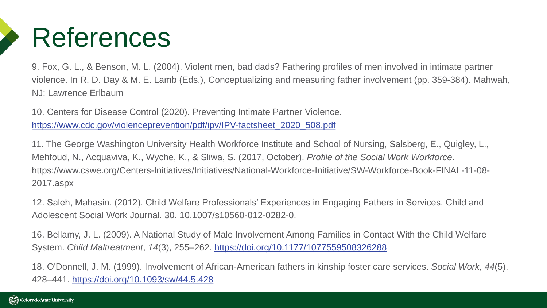

9. Fox, G. L., & Benson, M. L. (2004). Violent men, bad dads? Fathering profiles of men involved in intimate partner violence. In R. D. Day & M. E. Lamb (Eds.), Conceptualizing and measuring father involvement (pp. 359-384). Mahwah, NJ: Lawrence Erlbaum

10. Centers for Disease Control (2020). Preventing Intimate Partner Violence. [https://www.cdc.gov/violenceprevention/pdf/ipv/IPV-factsheet\\_2020\\_508.pdf](https://www.cdc.gov/violenceprevention/pdf/ipv/IPV-factsheet_2020_508.pdf)

11. The George Washington University Health Workforce Institute and School of Nursing, Salsberg, E., Quigley, L., Mehfoud, N., Acquaviva, K., Wyche, K., & Sliwa, S. (2017, October). *Profile of the Social Work Workforce*. https://www.cswe.org/Centers-Initiatives/Initiatives/National-Workforce-Initiative/SW-Workforce-Book-FINAL-11-08- 2017.aspx

12. Saleh, Mahasin. (2012). Child Welfare Professionals' Experiences in Engaging Fathers in Services. Child and Adolescent Social Work Journal. 30. 10.1007/s10560-012-0282-0.

16. Bellamy, J. L. (2009). A National Study of Male Involvement Among Families in Contact With the Child Welfare System. *Child Maltreatment*, *14*(3), 255–262. <https://doi.org/10.1177/1077559508326288>

18. O'Donnell, J. M. (1999). Involvement of African-American fathers in kinship foster care services. *Social Work, 44*(5), 428–441. [https://doi.org/10.1093/sw/44.5.428](https://psycnet.apa.org/doi/10.1093/sw/44.5.428)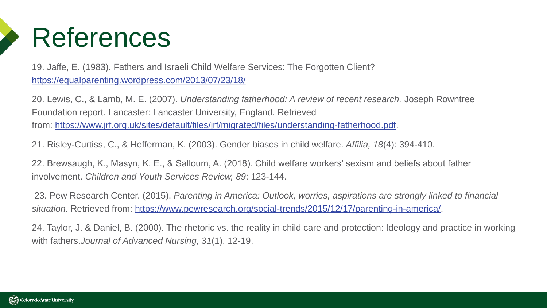

19. Jaffe, E. (1983). Fathers and Israeli Child Welfare Services: The Forgotten Client? <https://equalparenting.wordpress.com/2013/07/23/18/>

20. Lewis, C., & Lamb, M. E. (2007). *Understanding fatherhood: A review of recent research.* Joseph Rowntree Foundation report. Lancaster: Lancaster University, England. Retrieved from: [https://www.jrf.org.uk/sites/default/files/jrf/migrated/files/understanding-fatherhood.pdf.](https://nam10.safelinks.protection.outlook.com/?url=https%3A%2F%2Fwww.jrf.org.uk%2Fsites%2Fdefault%2Ffiles%2Fjrf%2Fmigrated%2Ffiles%2Funderstanding-fatherhood.pdf&data=04%7C01%7CCasey.Blackwatters%40colostate.edu%7C90c98000e888457cc59e08d91967ff98%7Cafb58802ff7a4bb1ab21367ff2ecfc8b%7C0%7C0%7C637568756717787674%7CUnknown%7CTWFpbGZsb3d8eyJWIjoiMC4wLjAwMDAiLCJQIjoiV2luMzIiLCJBTiI6Ik1haWwiLCJXVCI6Mn0%3D%7C1000&sdata=FKf3lA4cbCetlvFbzlaUYbpfJ2FpvNyKXfhDlj4YXlU%3D&reserved=0)

21. Risley-Curtiss, C., & Hefferman, K. (2003). Gender biases in child welfare. *Affilia, 18*(4): 394-410.

22. Brewsaugh, K., Masyn, K. E., & Salloum, A. (2018). Child welfare workers' sexism and beliefs about father involvement. *Children and Youth Services Review, 89*: 123-144.

23. Pew Research Center. (2015). *Parenting in America: Outlook, worries, aspirations are strongly linked to financial situation*. Retrieved from: [https://www.pewresearch.org/social-trends/2015/12/17/parenting-in-america/.](https://www.pewresearch.org/social-trends/2015/12/17/parenting-in-america/)

24. Taylor, J. & Daniel, B. (2000). The rhetoric vs. the reality in child care and protection: Ideology and practice in working with fathers.*Journal of Advanced Nursing, 31*(1), 12-19.